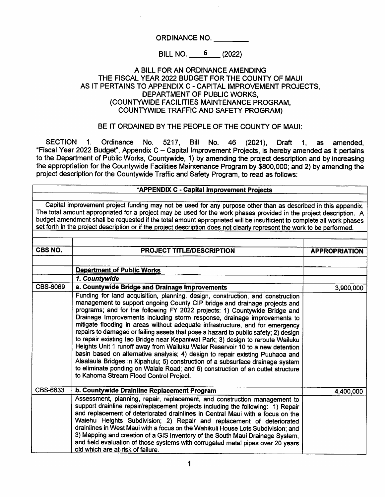ORDINANCE NO.

BILL NO. 6 (2022)

### A BILL FOR AN ORDINANCE AMENDING THE FISCAL YEAR 2022 BUDGET FOR THE COUNTY OF MAUI AS IT PERTAINS TO APPENDIX C - CAPITAL IMPROVEMENT PROJECTS, DEPARTMENT OF PUBLIC WORKS. (COUNTYWIDE FACILITIES MAINTENANCE PROGRAM, COUNTYWIDE TRAFFIC AND SAFETY PROGRAM)

BE IT ORDAINED BY THE PEOPLE OF THE COUNTY OF MAUI:

SECTION 1. Ordinance No. 5217, Bill No. 46 (2021), Draft 1, as amended,<br>"Fiscal Year 2022 Budget", Appendix C – Capital Improvement Projects, is hereby amended as it pertains to the Department of Public Works, Countywide, 1) by amending the project description and by increasing the appropriation for the Countywide Facilities Maintenance Program by \$800,000; and 2) by amending the project description for the Countywide Traffic and Safety Program, to read as follows; as

#### APPENDIX C - Capital Improvement Projects

Capital improvement project funding may not be used for any purpose other than as described in this appendix. The total amount appropriated for a project may be used for the work phases provided in the project description. A budget amendment shall be requested if the total amount appropriated will be insufficient to complete all work phases set forth in the project description or if the project description does not clearly represent the work to be performed.

| CBS NO.  | <b>PROJECT TITLE/DESCRIPTION</b>                                                                                                                                                                                                                                                                                                                                                                                                                                                                                                                                                                                                                                                                                                                                                                                                                                                                                                                                   | <b>APPROPRIATION</b> |
|----------|--------------------------------------------------------------------------------------------------------------------------------------------------------------------------------------------------------------------------------------------------------------------------------------------------------------------------------------------------------------------------------------------------------------------------------------------------------------------------------------------------------------------------------------------------------------------------------------------------------------------------------------------------------------------------------------------------------------------------------------------------------------------------------------------------------------------------------------------------------------------------------------------------------------------------------------------------------------------|----------------------|
|          |                                                                                                                                                                                                                                                                                                                                                                                                                                                                                                                                                                                                                                                                                                                                                                                                                                                                                                                                                                    |                      |
|          | <b>Department of Public Works</b>                                                                                                                                                                                                                                                                                                                                                                                                                                                                                                                                                                                                                                                                                                                                                                                                                                                                                                                                  |                      |
|          | 1. Countywide                                                                                                                                                                                                                                                                                                                                                                                                                                                                                                                                                                                                                                                                                                                                                                                                                                                                                                                                                      |                      |
| CBS-6069 | a. Countywide Bridge and Drainage Improvements                                                                                                                                                                                                                                                                                                                                                                                                                                                                                                                                                                                                                                                                                                                                                                                                                                                                                                                     | 3,900,000            |
|          | Funding for land acquisition, planning, design, construction, and construction<br>management to support ongoing County CIP bridge and drainage projects and<br>programs; and for the following FY 2022 projects: 1) Countywide Bridge and<br>Drainage Improvements including storm response, drainage improvements to<br>mitigate flooding in areas without adequate infrastructure, and for emergency<br>repairs to damaged or failing assets that pose a hazard to public safety; 2) design<br>to repair existing lao Bridge near Kepaniwai Park; 3) design to reroute Wailuku<br>Heights Unit 1 runoff away from Wailuku Water Reservoir 10 to a new detention<br>basin based on alternative analysis; 4) design to repair existing Puuhaoa and<br>Alaalaula Bridges in Kipahulu; 5) construction of a subsurface drainage system<br>to eliminate ponding on Waiale Road; and 6) construction of an outlet structure<br>to Kahoma Stream Flood Control Project. |                      |
| CBS-6633 | b. Countywide Drainline Replacement Program                                                                                                                                                                                                                                                                                                                                                                                                                                                                                                                                                                                                                                                                                                                                                                                                                                                                                                                        | 4,400,000            |
|          | Assessment, planning, repair, replacement, and construction management to<br>support drainline repair/replacement projects including the following: 1) Repair<br>and replacement of deteriorated drainlines in Central Maui with a focus on the<br>Waiehu Heights Subdivision; 2) Repair and replacement of deteriorated<br>drainlines in West Maui with a focus on the Wahikuli House Lots Subdivision; and<br>3) Mapping and creation of a GIS Inventory of the South Maui Drainage System,<br>and field evaluation of those systems with corrugated metal pipes over 20 years<br>old which are at-risk of failure.                                                                                                                                                                                                                                                                                                                                              |                      |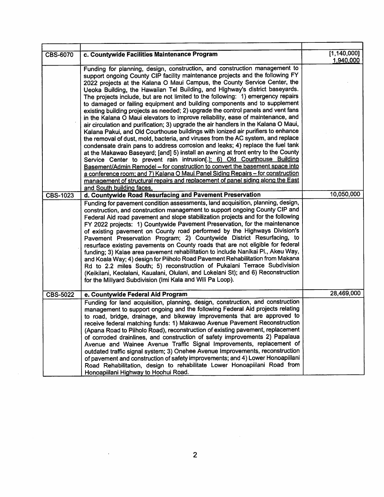| <b>CBS-6070</b> | c. Countywide Facilities Maintenance Program                                                                                                                                                                                                                                                                                                                                                                                                                                                                                                                                                                                                                                                                                                                                                                                                                                                                                                                                                                                                                                                                                                                                                                                                                                                                                                                                                                                                                         | [1, 140, 000]<br>1,940,000 |
|-----------------|----------------------------------------------------------------------------------------------------------------------------------------------------------------------------------------------------------------------------------------------------------------------------------------------------------------------------------------------------------------------------------------------------------------------------------------------------------------------------------------------------------------------------------------------------------------------------------------------------------------------------------------------------------------------------------------------------------------------------------------------------------------------------------------------------------------------------------------------------------------------------------------------------------------------------------------------------------------------------------------------------------------------------------------------------------------------------------------------------------------------------------------------------------------------------------------------------------------------------------------------------------------------------------------------------------------------------------------------------------------------------------------------------------------------------------------------------------------------|----------------------------|
|                 | Funding for planning, design, construction, and construction management to<br>support ongoing County CIP facility maintenance projects and the following FY<br>2022 projects at the Kalana O Maui Campus, the County Service Center, the<br>Ueoka Building, the Hawaiian Tel Building, and Highway's district baseyards.<br>The projects include, but are not limited to the following: 1) emergency repairs<br>to damaged or failing equipment and building components and to supplement<br>existing building projects as needed; 2) upgrade the control panels and vent fans<br>in the Kalana O Maui elevators to improve reliability, ease of maintenance, and<br>air circulation and purification; 3) upgrade the air handlers in the Kalana O Maui,<br>Kalana Pakui, and Old Courthouse buildings with ionized air purifiers to enhance<br>the removal of dust, mold, bacteria, and viruses from the AC system, and replace<br>condensate drain pans to address corrosion and leaks; 4) replace the fuel tank<br>at the Makawao Baseyard; [and] 5) install an awning at front entry to the County<br>Service Center to prevent rain intrusion[.]; 6) Old Courthouse Building<br>Basement/Admin Remodel - for construction to convert the basement space into<br>a conference room; and 7) Kalana O Maui Panel Siding Repairs - for construction<br>management of structural repairs and replacement of panel siding along the East<br>and South building faces. |                            |
| <b>CBS-1023</b> | d. Countywide Road Resurfacing and Pavement Preservation                                                                                                                                                                                                                                                                                                                                                                                                                                                                                                                                                                                                                                                                                                                                                                                                                                                                                                                                                                                                                                                                                                                                                                                                                                                                                                                                                                                                             | 10,050,000                 |
|                 | Funding for pavement condition assessments, land acquisition, planning, design,<br>construction, and construction management to support ongoing County CIP and<br>Federal Aid road pavement and slope stabilization projects and for the following<br>FY 2022 projects: 1) Countywide Pavement Preservation, for the maintenance<br>of existing pavement on County road performed by the Highways Division's<br>Pavement Preservation Program; 2) Countywide District Resurfacing, to<br>resurface existing pavements on County roads that are not eligible for federal<br>funding; 3) Kalae area pavement rehabilitation to include Nanikai Pl., Akeu Way,<br>and Koala Way; 4) design for Piiholo Road Pavement Rehabilitation from Makana<br>Rd to 2.2 miles South; 5) reconstruction of Pukalani Terrace Subdivision<br>(Keikilani, Keolalani, Kaualani, Olulani, and Lokelani St); and 6) Reconstruction<br>for the Millyard Subdivision (Imi Kala and Wili Pa Loop).                                                                                                                                                                                                                                                                                                                                                                                                                                                                                           |                            |
| <b>CBS-5022</b> | e. Countywide Federal Aid Program                                                                                                                                                                                                                                                                                                                                                                                                                                                                                                                                                                                                                                                                                                                                                                                                                                                                                                                                                                                                                                                                                                                                                                                                                                                                                                                                                                                                                                    | 28,469,000                 |
|                 | Funding for land acquisition, planning, design, construction, and construction<br>management to support ongoing and the following Federal Aid projects relating<br>to road, bridge, drainage, and bikeway improvements that are approved to<br>receive federal matching funds: 1) Makawao Avenue Pavement Reconstruction<br>(Apana Road to Piiholo Road), reconstruction of existing pavement, replacement<br>of corroded drainlines, and construction of safety improvements 2) Papalaua<br>Avenue and Wainee Avenue Traffic Signal Improvements, replacement of<br>outdated traffic signal system; 3) Onehee Avenue Improvements, reconstruction<br>of pavement and construction of safety improvements; and 4) Lower Honoapiilani<br>Road Rehabilitation, design to rehabilitate Lower Honoapiilani Road from<br>Honoapiilani Highway to Hoohui Road.                                                                                                                                                                                                                                                                                                                                                                                                                                                                                                                                                                                                             |                            |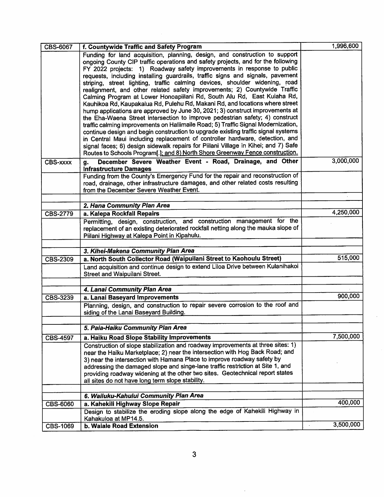| CBS-6067        | f. Countywide Traffic and Safety Program                                                                                                                            | 1,996,600 |
|-----------------|---------------------------------------------------------------------------------------------------------------------------------------------------------------------|-----------|
|                 | Funding for land acquisition, planning, design, and construction to support                                                                                         |           |
|                 | ongoing County CIP traffic operations and safety projects, and for the following                                                                                    |           |
|                 | FY 2022 projects: 1) Roadway safety improvements in response to public                                                                                              |           |
|                 | requests, including installing guardrails, traffic signs and signals, pavement                                                                                      |           |
|                 | striping, street lighting, traffic calming devices, shoulder widening, road<br>realignment, and other related safety improvements; 2) Countywide Traffic            |           |
|                 | Calming Program at Lower Honoapiilani Rd, South Alu Rd, East Kuiaha Rd,                                                                                             |           |
|                 | Kauhikoa Rd, Kaupakalua Rd, Pulehu Rd, Makani Rd, and locations where street                                                                                        |           |
|                 | hump applications are approved by June 30, 2021; 3) construct improvements at                                                                                       |           |
|                 | the Eha-Waena Street intersection to improve pedestrian safety; 4) construct                                                                                        |           |
|                 | traffic calming improvements on Haliimaile Road; 5) Traffic Signal Modernization,                                                                                   |           |
|                 | continue design and begin construction to upgrade existing traffic signal systems                                                                                   |           |
|                 | in Central Maui including replacement of controller hardware, detection, and                                                                                        |           |
|                 | signal faces; 6) design sidewalk repairs for Piilani Village in Kihei; and 7) Safe<br>Routes to Schools Program[.]; and 8) North Shore Greenway Fence construction. |           |
|                 |                                                                                                                                                                     |           |
| <b>CBS-xxxx</b> | December Severe Weather Event - Road, Drainage, and Other<br>g.<br><b>Infrastructure Damages</b>                                                                    | 3,000,000 |
|                 | Funding from the County's Emergency Fund for the repair and reconstruction of                                                                                       |           |
|                 | road, drainage, other infrastructure damages, and other related costs resulting                                                                                     |           |
|                 | from the December Severe Weather Event.                                                                                                                             |           |
|                 |                                                                                                                                                                     |           |
|                 | 2. Hana Community Plan Area                                                                                                                                         |           |
| <b>CBS-2779</b> | a. Kalepa Rockfall Repairs                                                                                                                                          | 4,250,000 |
|                 | Permitting, design, construction, and construction management for the                                                                                               |           |
|                 | replacement of an existing deteriorated rockfall netting along the mauka slope of                                                                                   |           |
|                 | Piilani Highway at Kalepa Point in Kipahulu.                                                                                                                        |           |
|                 | 3. Kihei-Makena Community Plan Area                                                                                                                                 |           |
| <b>CBS-2309</b> | a. North South Collector Road (Waipuilani Street to Kaohoulu Street)                                                                                                | 515,000   |
|                 | Land acquisition and continue design to extend Liloa Drive between Kulanihakoi                                                                                      |           |
|                 | Street and Waipuilani Street.                                                                                                                                       |           |
|                 |                                                                                                                                                                     |           |
|                 | 4. Lanai Community Plan Area                                                                                                                                        |           |
| CBS-3239        | a. Lanai Baseyard Improvements                                                                                                                                      | 900,000   |
|                 | Planning, design, and construction to repair severe corrosion to the roof and                                                                                       |           |
|                 | siding of the Lanai Baseyard Building.                                                                                                                              |           |
|                 |                                                                                                                                                                     |           |
|                 | 5. Paia-Haiku Community Plan Area                                                                                                                                   |           |
| <b>CBS-4597</b> | a. Haiku Road Slope Stability Improvements                                                                                                                          | 7,500,000 |
|                 | Construction of slope stabilization and roadway improvements at three sites: 1)                                                                                     |           |
|                 | near the Haiku Marketplace; 2) near the intersection with Hog Back Road; and                                                                                        |           |
|                 | 3) near the intersection with Hamana Place to improve roadway safety by<br>addressing the damaged slope and singe-lane traffic restriction at Site 1, and           |           |
|                 | providing roadway widening at the other two sites. Geotechnical report states                                                                                       |           |
|                 | all sites do not have long term slope stability.                                                                                                                    |           |
|                 |                                                                                                                                                                     |           |
|                 | 6. Wailuku-Kahului Community Plan Area                                                                                                                              |           |
| <b>CBS-6060</b> | a. Kahekili Highway Slope Repair                                                                                                                                    | 400,000   |
|                 | Design to stabilize the eroding slope along the edge of Kahekili Highway in                                                                                         |           |
|                 | Kahakuloa at MP14.5.                                                                                                                                                |           |
| CBS-1069        | b. Waiale Road Extension                                                                                                                                            | 3,500,000 |

 $\hat{\boldsymbol{\beta}}$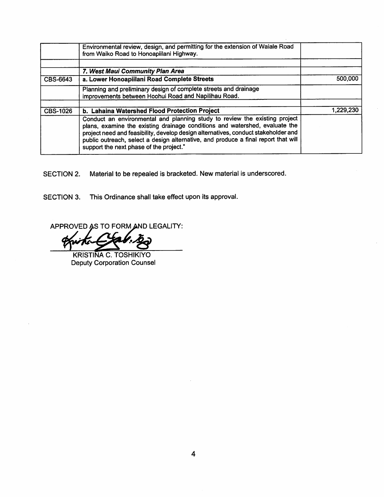|                 | Environmental review, design, and permitting for the extension of Waiale Road<br>from Waiko Road to Honoapiilani Highway.                                                                                                                                                                                                                                                        |           |
|-----------------|----------------------------------------------------------------------------------------------------------------------------------------------------------------------------------------------------------------------------------------------------------------------------------------------------------------------------------------------------------------------------------|-----------|
|                 | 7. West Maui Community Plan Area                                                                                                                                                                                                                                                                                                                                                 |           |
| CBS-6643        | a. Lower Honoapiilani Road Complete Streets                                                                                                                                                                                                                                                                                                                                      | 500,000   |
|                 | Planning and preliminary design of complete streets and drainage<br>improvements between Hoohui Road and Napilihau Road.                                                                                                                                                                                                                                                         |           |
| <b>CBS-1026</b> | b. Lahaina Watershed Flood Protection Project                                                                                                                                                                                                                                                                                                                                    | 1,229,230 |
|                 | Conduct an environmental and planning study to review the existing project<br>plans, examine the existing drainage conditions and watershed, evaluate the<br>project need and feasibility, develop design alternatives, conduct stakeholder and<br>public outreach, select a design alternative, and produce a final report that will<br>support the next phase of the project." |           |

SECTION 2. Material to be repealed is bracketed. New material is underscored.

SECTION 3. This Ordinance shall take effect upon its approval.

APPROVED AS TO FORM AND LEGALITY:

KRISTINA C. TOSHIKIYO Deputy Corporation Counsel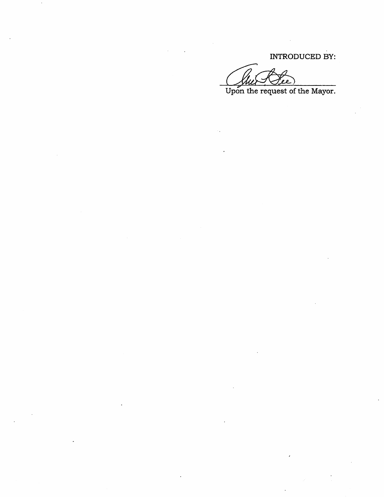INTRODUCED BY:

 $\mathbf{z}$ 

Upon the request of the Mayor.